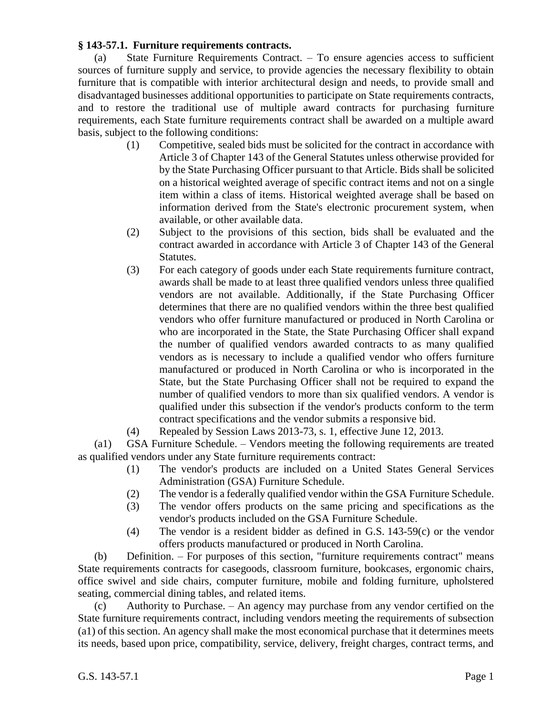## **§ 143-57.1. Furniture requirements contracts.**

(a) State Furniture Requirements Contract. – To ensure agencies access to sufficient sources of furniture supply and service, to provide agencies the necessary flexibility to obtain furniture that is compatible with interior architectural design and needs, to provide small and disadvantaged businesses additional opportunities to participate on State requirements contracts, and to restore the traditional use of multiple award contracts for purchasing furniture requirements, each State furniture requirements contract shall be awarded on a multiple award basis, subject to the following conditions:

- (1) Competitive, sealed bids must be solicited for the contract in accordance with Article 3 of Chapter 143 of the General Statutes unless otherwise provided for by the State Purchasing Officer pursuant to that Article. Bids shall be solicited on a historical weighted average of specific contract items and not on a single item within a class of items. Historical weighted average shall be based on information derived from the State's electronic procurement system, when available, or other available data.
- (2) Subject to the provisions of this section, bids shall be evaluated and the contract awarded in accordance with Article 3 of Chapter 143 of the General Statutes.
- (3) For each category of goods under each State requirements furniture contract, awards shall be made to at least three qualified vendors unless three qualified vendors are not available. Additionally, if the State Purchasing Officer determines that there are no qualified vendors within the three best qualified vendors who offer furniture manufactured or produced in North Carolina or who are incorporated in the State, the State Purchasing Officer shall expand the number of qualified vendors awarded contracts to as many qualified vendors as is necessary to include a qualified vendor who offers furniture manufactured or produced in North Carolina or who is incorporated in the State, but the State Purchasing Officer shall not be required to expand the number of qualified vendors to more than six qualified vendors. A vendor is qualified under this subsection if the vendor's products conform to the term contract specifications and the vendor submits a responsive bid.
- (4) Repealed by Session Laws 2013-73, s. 1, effective June 12, 2013.

(a1) GSA Furniture Schedule. – Vendors meeting the following requirements are treated as qualified vendors under any State furniture requirements contract:

- (1) The vendor's products are included on a United States General Services Administration (GSA) Furniture Schedule.
- (2) The vendor is a federally qualified vendor within the GSA Furniture Schedule.
- (3) The vendor offers products on the same pricing and specifications as the vendor's products included on the GSA Furniture Schedule.
- (4) The vendor is a resident bidder as defined in G.S. 143-59(c) or the vendor offers products manufactured or produced in North Carolina.

(b) Definition. – For purposes of this section, "furniture requirements contract" means State requirements contracts for casegoods, classroom furniture, bookcases, ergonomic chairs, office swivel and side chairs, computer furniture, mobile and folding furniture, upholstered seating, commercial dining tables, and related items.

(c) Authority to Purchase. – An agency may purchase from any vendor certified on the State furniture requirements contract, including vendors meeting the requirements of subsection (a1) of this section. An agency shall make the most economical purchase that it determines meets its needs, based upon price, compatibility, service, delivery, freight charges, contract terms, and